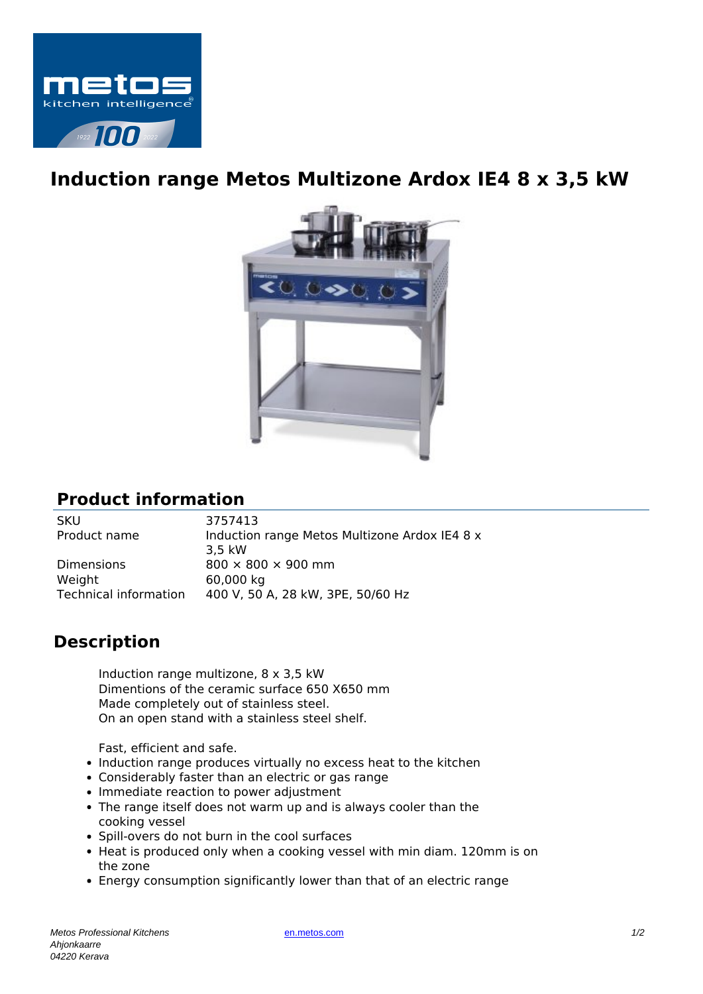

## **Induction range Metos Multizone Ardox IE4 8 x 3,5 kW**



## **Product information**

SKU 3757413

Product name Induction range Metos Multizone Ardox IE4 8 x 3,5 kW Dimensions 800  $\times$  800  $\times$  900 mm Weight 60,000 kg Technical information 400 V, 50 A, 28 kW, 3PE, 50/60 Hz

## **Description**

Induction range multizone, 8 x 3,5 kW Dimentions of the ceramic surface 650 X650 mm Made completely out of stainless steel. On an open stand with a stainless steel shelf.

Fast, efficient and safe.

- Induction range produces virtually no excess heat to the kitchen
- Considerably faster than an electric or gas range
- Immediate reaction to power adjustment
- The range itself does not warm up and is always cooler than the cooking vessel
- Spill-overs do not burn in the cool surfaces
- Heat is produced only when a cooking vessel with min diam. 120mm is on the zone
- Energy consumption significantly lower than that of an electric range